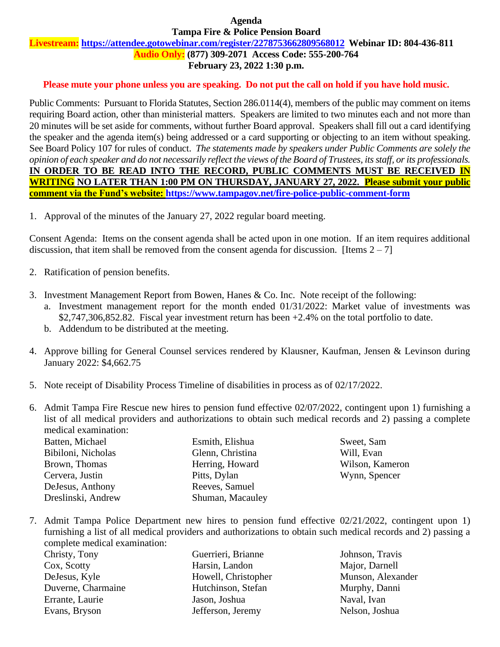#### **Agenda Tampa Fire & Police Pension Board**

# **Livestream: <https://attendee.gotowebinar.com/register/2278753662809568012> Webinar ID: 804-436-811**

**Audio Only: (877) 309-2071 Access Code: 555-200-764**

# **February 23, 2022 1:30 p.m.**

### **Please mute your phone unless you are speaking. Do not put the call on hold if you have hold music.**

Public Comments: Pursuant to Florida Statutes, Section 286.0114(4), members of the public may comment on items requiring Board action, other than ministerial matters. Speakers are limited to two minutes each and not more than 20 minutes will be set aside for comments, without further Board approval. Speakers shall fill out a card identifying the speaker and the agenda item(s) being addressed or a card supporting or objecting to an item without speaking. See Board Policy 107 for rules of conduct. *The statements made by speakers under Public Comments are solely the opinion of each speaker and do not necessarily reflect the views of the Board of Trustees, its staff, or its professionals.* **IN ORDER TO BE READ INTO THE RECORD, PUBLIC COMMENTS MUST BE RECEIVED IN WRITING NO LATER THAN 1:00 PM ON THURSDAY, JANUARY 27, 2022. Please submit your public comment via the Fund's website:<https://www.tampagov.net/fire-police-public-comment-form>**

1. Approval of the minutes of the January 27, 2022 regular board meeting.

Consent Agenda: Items on the consent agenda shall be acted upon in one motion. If an item requires additional discussion, that item shall be removed from the consent agenda for discussion. [Items  $2 - 7$ ]

- 2. Ratification of pension benefits.
- 3. Investment Management Report from Bowen, Hanes & Co. Inc. Note receipt of the following:
	- a. Investment management report for the month ended 01/31/2022: Market value of investments was \$2,747,306,852.82. Fiscal year investment return has been +2.4% on the total portfolio to date.
	- b. Addendum to be distributed at the meeting.
- 4. Approve billing for General Counsel services rendered by Klausner, Kaufman, Jensen & Levinson during January 2022: \$4,662.75
- 5. Note receipt of Disability Process Timeline of disabilities in process as of 02/17/2022.
- 6. Admit Tampa Fire Rescue new hires to pension fund effective 02/07/2022, contingent upon 1) furnishing a list of all medical providers and authorizations to obtain such medical records and 2) passing a complete medical examination:

| Esmith, Elishua  |
|------------------|
| Glenn, Christina |
| Herring, Howard  |
| Pitts, Dylan     |
| Reeves, Samuel   |
| Shuman, Macauley |
|                  |

Sweet, Sam Will, Evan Wilson, Kameron Wynn, Spencer

7. Admit Tampa Police Department new hires to pension fund effective 02/21/2022, contingent upon 1) furnishing a list of all medical providers and authorizations to obtain such medical records and 2) passing a complete medical examination:

Christy, Tony Cox, Scotty DeJesus, Kyle Duverne, Charmaine Errante, Laurie Evans, Bryson

Guerrieri, Brianne Harsin, Landon Howell, Christopher Hutchinson, Stefan Jason, Joshua Jefferson, Jeremy

Johnson, Travis Major, Darnell Munson, Alexander Murphy, Danni Naval, Ivan Nelson, Joshua